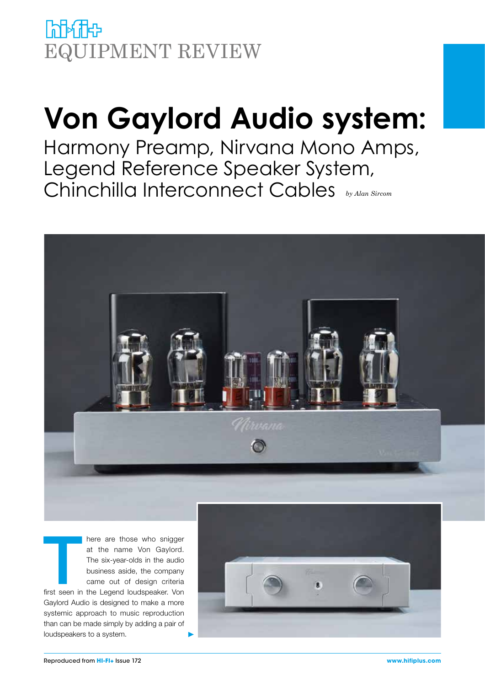**himic** EQUIPMENT REVIEW

# **Von Gaylord Audio system:**

Harmony Preamp, Nirvana Mono Amps, Legend Reference Speaker System, Chinchilla Interconnect Cables *by Alan Sircom*



There are those who snigger<br>
at the name Von Gaylord.<br>
The six-year-olds in the audio<br>
business aside, the company<br>
came out of design criteria<br>
first seen in the Legend loudspeaker. Von at the name Von Gaylord. The six-year-olds in the audio business aside, the company came out of design criteria Gaylord Audio is designed to make a more systemic approach to music reproduction than can be made simply by adding a pair of loudspeakers to a system.

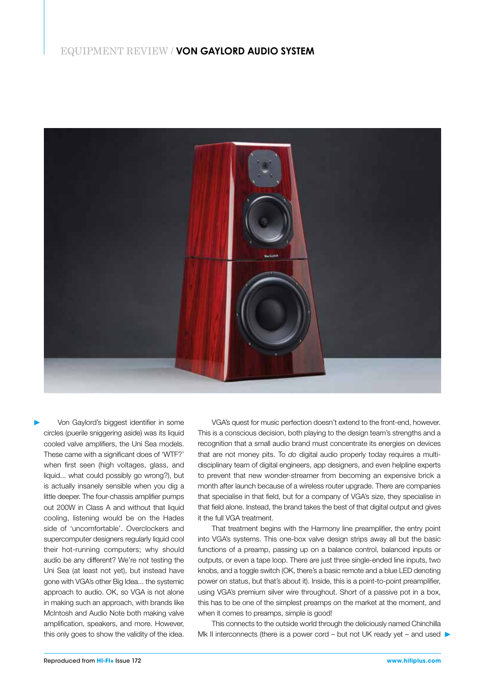

Von Gaylord's biggest identifier in some circles (puerile sniggering aside) was its liquid cooled valve amplifiers, the Uni Sea models. These came with a significant does of 'WTF?' when first seen (high voltages, glass, and liquid... what could possibly go wrong?), but is actually insanely sensible when you dig a little deeper. The four-chassis amplifier pumps out 200W in Class A and without that liquid cooling, listening would be on the Hades side of 'uncomfortable'. Overclockers and supercomputer designers regularly liquid cool their hot-running computers; why should audio be any different? We're not testing the Uni Sea (at least not yet), but instead have gone with VGA's other Big Idea... the systemic approach to audio. OK, so VGA is not alone in making such an approach, with brands like McIntosh and Audio Note both making valve amplification, speakers, and more. However, this only goes to show the validity of the idea.

VGA's quest for music perfection doesn't extend to the front-end, however. This is a conscious decision, both playing to the design team's strengths and a recognition that a small audio brand must concentrate its energies on devices that are not money pits. To *do* digital audio properly today requires a multidisciplinary team of digital engineers, app designers, and even helpline experts to prevent that new wonder-streamer from becoming an expensive brick a month after launch because of a wireless router upgrade. There are companies that specialise in that field, but for a company of VGA's size, they specialise in that field alone. Instead, the brand takes the best of that digital output and gives it the full VGA treatment.

That treatment begins with the Harmony line preamplifier, the entry point into VGA's systems. This one-box valve design strips away all but the basic functions of a preamp, passing up on a balance control, balanced inputs or outputs, or even a tape loop. There are just three single-ended line inputs, two knobs, and a toggle switch (OK, there's a basic remote and a blue LED denoting power on status, but that's about it). Inside, this is a point-to-point preamplifier, using VGA's premium silver wire throughout. Short of a passive pot in a box, this has to be one of the simplest preamps on the market at the moment, and when it comes to preamps, simple is good!

This connects to the outside world through the deliciously named Chinchilla Mk II interconnects (there is a power cord – but not UK ready yet – and used  $\blacktriangleright$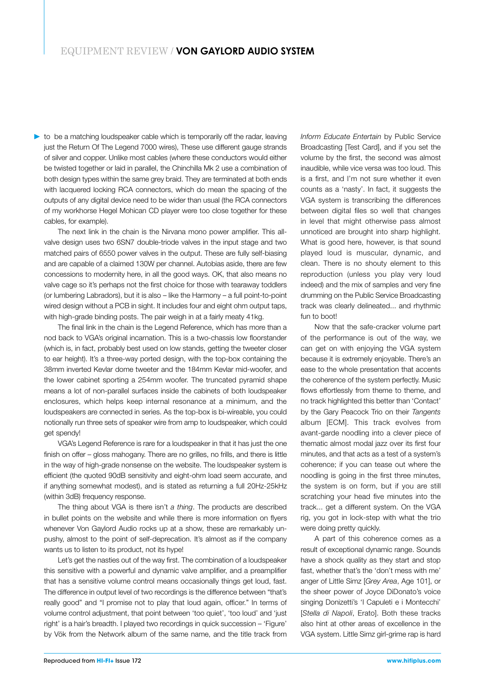to be a matching loudspeaker cable which is temporarily off the radar, leaving just the Return Of The Legend 7000 wires), These use different gauge strands of silver and copper. Unlike most cables (where these conductors would either be twisted together or laid in parallel, the Chinchilla Mk 2 use a combination of both design types within the same grey braid. They are terminated at both ends with lacquered locking RCA connectors, which do mean the spacing of the outputs of any digital device need to be wider than usual (the RCA connectors of my workhorse Hegel Mohican CD player were too close together for these cables, for example).

The next link in the chain is the Nirvana mono power amplifier. This allvalve design uses two 6SN7 double-triode valves in the input stage and two matched pairs of 6550 power valves in the output. These are fully self-biasing and are capable of a claimed 130W per channel. Autobias aside, there are few concessions to modernity here, in all the good ways. OK, that also means no valve cage so it's perhaps not the first choice for those with tearaway toddlers (or lumbering Labradors), but it is also – like the Harmony – a full point-to-point wired design without a PCB in sight. It includes four and eight ohm output taps, with high-grade binding posts. The pair weigh in at a fairly meaty 41kg.

The final link in the chain is the Legend Reference, which has more than a nod back to VGA's original incarnation. This is a two-chassis low floorstander (which is, in fact, probably best used on low stands, getting the tweeter closer to ear height). It's a three-way ported design, with the top-box containing the 38mm inverted Kevlar dome tweeter and the 184mm Kevlar mid-woofer, and the lower cabinet sporting a 254mm woofer. The truncated pyramid shape means a lot of non-parallel surfaces inside the cabinets of both loudspeaker enclosures, which helps keep internal resonance at a minimum, and the loudspeakers are connected in series. As the top-box is bi-wireable, you could notionally run three sets of speaker wire from amp to loudspeaker, which could get spendy!

VGA's Legend Reference is rare for a loudspeaker in that it has just the one finish on offer – gloss mahogany. There are no grilles, no frills, and there is little in the way of high-grade nonsense on the website. The loudspeaker system is efficient (the quoted 90dB sensitivity and eight-ohm load seem accurate, and if anything somewhat modest), and is stated as returning a full 20Hz-25kHz (within 3dB) frequency response.

The thing about VGA is there isn't *a thing*. The products are described in bullet points on the website and while there is more information on flyers whenever Von Gaylord Audio rocks up at a show, these are remarkably unpushy, almost to the point of self-deprecation. It's almost as if the company wants us to listen to its product, not its hype!

Let's get the nasties out of the way first. The combination of a loudspeaker this sensitive with a powerful and dynamic valve amplifier, and a preamplifier that has a sensitive volume control means occasionally things get loud, fast. The difference in output level of two recordings is the difference between "that's really good" and "I promise not to play that loud again, officer." In terms of volume control adjustment, that point between 'too quiet', 'too loud' and 'just right' is a hair's breadth. I played two recordings in quick succession – 'Figure' by Vök from the Network album of the same name, and the title track from *Inform Educate Entertain* by Public Service Broadcasting [Test Card], and if you set the volume by the first, the second was almost inaudible, while vice versa was too loud. This is a first, and I'm not sure whether it even counts as a 'nasty'. In fact, it suggests the VGA system is transcribing the differences between digital files so well that changes in level that might otherwise pass almost unnoticed are brought into sharp highlight. What is good here, however, is that sound played loud is muscular, dynamic, and clean. There is no shouty element to this reproduction (unless you play very loud indeed) and the mix of samples and very fine drumming on the Public Service Broadcasting track was clearly delineated... and rhythmic fun to boot!

Now that the safe-cracker volume part of the performance is out of the way, we can get on with enjoying the VGA system because it is extremely enjoyable. There's an ease to the whole presentation that accents the coherence of the system perfectly. Music flows effortlessly from theme to theme, and no track highlighted this better than 'Contact' by the Gary Peacock Trio on their *Tangents* album [ECM]. This track evolves from avant-garde noodling into a clever piece of thematic almost modal jazz over its first four minutes, and that acts as a test of a system's coherence; if you can tease out where the noodling is going in the first three minutes, the system is on form, but if you are still scratching your head five minutes into the track... get a different system. On the VGA rig, you got in lock-step with what the trio were doing pretty quickly.

A part of this coherence comes as a result of exceptional dynamic range. Sounds have a shock quality as they start and stop fast, whether that's the 'don't mess with me' anger of Little Simz [*Grey Area*, Age 101], or the sheer power of Joyce DiDonato's voice singing Donizetti's 'I Capuleti e i Montecchi' [*Stella di Napoli*, Erato]. Both these tracks also hint at other areas of excellence in the VGA system. Little Simz girl-grime rap is hard